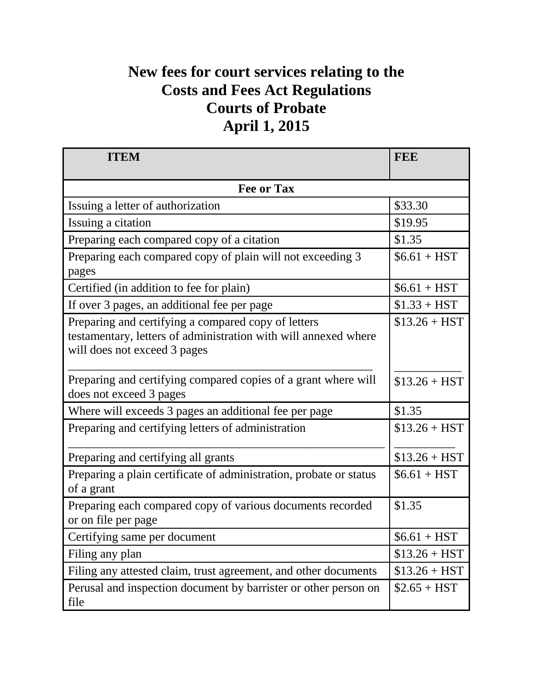## **New fees for court services relating to the Costs and Fees Act Regulations Courts of Probate April 1, 2015**

| <b>ITEM</b>                                                                                                                                            | <b>FEE</b>     |  |
|--------------------------------------------------------------------------------------------------------------------------------------------------------|----------------|--|
| <b>Fee or Tax</b>                                                                                                                                      |                |  |
| Issuing a letter of authorization                                                                                                                      | \$33.30        |  |
| Issuing a citation                                                                                                                                     | \$19.95        |  |
| Preparing each compared copy of a citation                                                                                                             | \$1.35         |  |
| Preparing each compared copy of plain will not exceeding 3<br>pages                                                                                    | $$6.61 + HST$  |  |
| Certified (in addition to fee for plain)                                                                                                               | $$6.61 + HST$  |  |
| If over 3 pages, an additional fee per page                                                                                                            | $$1.33 + HST$  |  |
| Preparing and certifying a compared copy of letters<br>testamentary, letters of administration with will annexed where<br>will does not exceed 3 pages | $$13.26 + HST$ |  |
| Preparing and certifying compared copies of a grant where will<br>does not exceed 3 pages                                                              | $$13.26 + HST$ |  |
| Where will exceeds 3 pages an additional fee per page                                                                                                  | \$1.35         |  |
| Preparing and certifying letters of administration                                                                                                     | $$13.26 + HST$ |  |
| Preparing and certifying all grants                                                                                                                    | $$13.26 + HST$ |  |
| Preparing a plain certificate of administration, probate or status<br>of a grant                                                                       | $$6.61 + HST$  |  |
| Preparing each compared copy of various documents recorded<br>or on file per page                                                                      | \$1.35         |  |
| Certifying same per document                                                                                                                           | $$6.61 + HST$  |  |
| Filing any plan                                                                                                                                        | $$13.26 + HST$ |  |
| Filing any attested claim, trust agreement, and other documents                                                                                        | $$13.26 + HST$ |  |
| Perusal and inspection document by barrister or other person on<br>file                                                                                | $$2.65 + HST$  |  |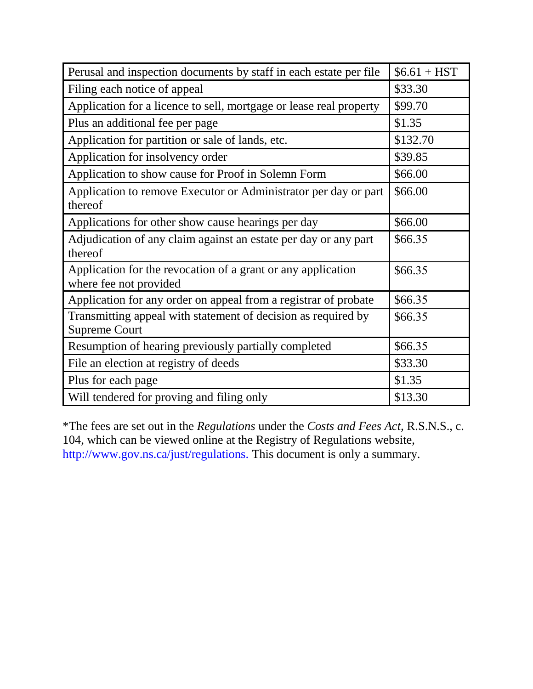| Perusal and inspection documents by staff in each estate per file                      | $$6.61 + HST$ |
|----------------------------------------------------------------------------------------|---------------|
| Filing each notice of appeal                                                           | \$33.30       |
| Application for a licence to sell, mortgage or lease real property                     | \$99.70       |
| Plus an additional fee per page                                                        | \$1.35        |
| Application for partition or sale of lands, etc.                                       | \$132.70      |
| Application for insolvency order                                                       | \$39.85       |
| Application to show cause for Proof in Solemn Form                                     | \$66.00       |
| Application to remove Executor or Administrator per day or part<br>thereof             | \$66.00       |
| Applications for other show cause hearings per day                                     | \$66.00       |
| Adjudication of any claim against an estate per day or any part<br>thereof             | \$66.35       |
| Application for the revocation of a grant or any application<br>where fee not provided | \$66.35       |
| Application for any order on appeal from a registrar of probate                        | \$66.35       |
| Transmitting appeal with statement of decision as required by<br><b>Supreme Court</b>  | \$66.35       |
| Resumption of hearing previously partially completed                                   | \$66.35       |
| File an election at registry of deeds                                                  | \$33.30       |
| Plus for each page                                                                     | \$1.35        |
| Will tendered for proving and filing only                                              | \$13.30       |

\*The fees are set out in the *Regulations* under the *Costs and Fees Act*, R.S.N.S., c. 104, which can be viewed online at the Registry of Regulations website, http://www.gov.ns.ca/just/regulations. This document is only a summary.